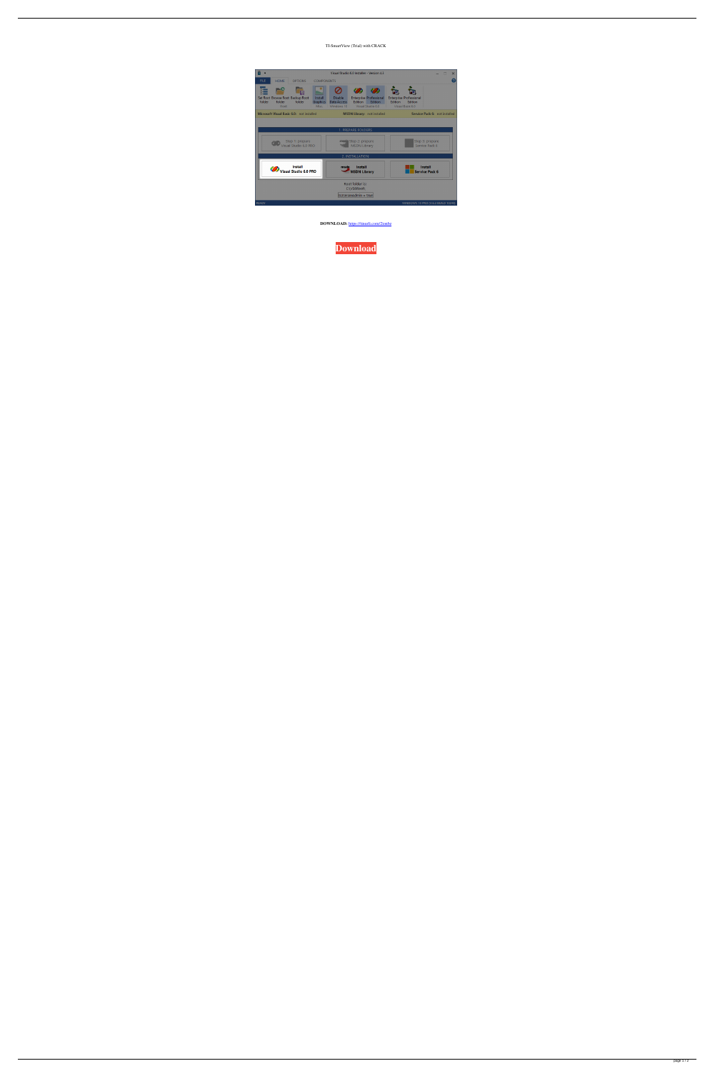## TI-SmartView (Trial) with CRACK

| $\overline{\phantom{a}}$<br>Visual Studio 6.0 Installer - Version 4.3<br>▫ |                                          |                                                    |                                     |                                             |                                                                                |                                                                              |                |                                                               |  |  | × |
|----------------------------------------------------------------------------|------------------------------------------|----------------------------------------------------|-------------------------------------|---------------------------------------------|--------------------------------------------------------------------------------|------------------------------------------------------------------------------|----------------|---------------------------------------------------------------|--|--|---|
| <b>FILE</b>                                                                | <b>HOME</b>                              | <b>OPTIONS</b>                                     | <b>COMPONENTS</b>                   |                                             |                                                                                |                                                                              |                |                                                               |  |  |   |
| folder                                                                     | folder<br>Root                           | - 51<br>Set Root Browse Root Backup Root<br>folder | Install<br><b>Graphics</b><br>Misc. | <b>Disable</b><br>Data Access<br>Windows 10 | K R<br><b>Edition</b>                                                          | K 2<br><b>Enterprise Professional</b><br><b>Edition</b><br>Visual Studio 6.0 | <b>Edition</b> | <b>Enterprise Professional</b><br>Edition<br>Visual Basic 6.0 |  |  |   |
|                                                                            |                                          | Microsoft Visual Basic 6.0: not installed          |                                     | <b>MSDN Library: not installed</b>          |                                                                                |                                                                              |                | Service Pack 6: not installed                                 |  |  |   |
|                                                                            | Step 1: prepare<br>Visual Studio 6.0 PRO |                                                    |                                     |                                             | 1. PREPARE FOLDERS<br>Step 2: prepare<br><b>TELESCO</b><br><b>MSDN Library</b> |                                                                              |                | Step 3: prepare<br>Service Pack 6                             |  |  |   |
| 2. INSTALLATION                                                            |                                          |                                                    |                                     |                                             |                                                                                |                                                                              |                |                                                               |  |  |   |
|                                                                            | <b>Install</b><br>Visual Studio 6.0 PRO  |                                                    |                                     |                                             | <b>Install</b><br>msdn<br><b>MSDN Library</b>                                  |                                                                              |                | <b>Install</b><br><b>Service Pack 6</b>                       |  |  |   |
|                                                                            |                                          |                                                    |                                     |                                             | Root folder is:<br>C:\VS6Root\<br> IsUserAnAdmin = true                        |                                                                              |                |                                                               |  |  |   |
| <b>READY</b>                                                               |                                          |                                                    |                                     |                                             |                                                                                |                                                                              |                | WINDOWS 10 PRO (V.6.3 BUILD 10240)                            |  |  |   |

**DOWNLOAD:** <https://tinurli.com/2ionbz>